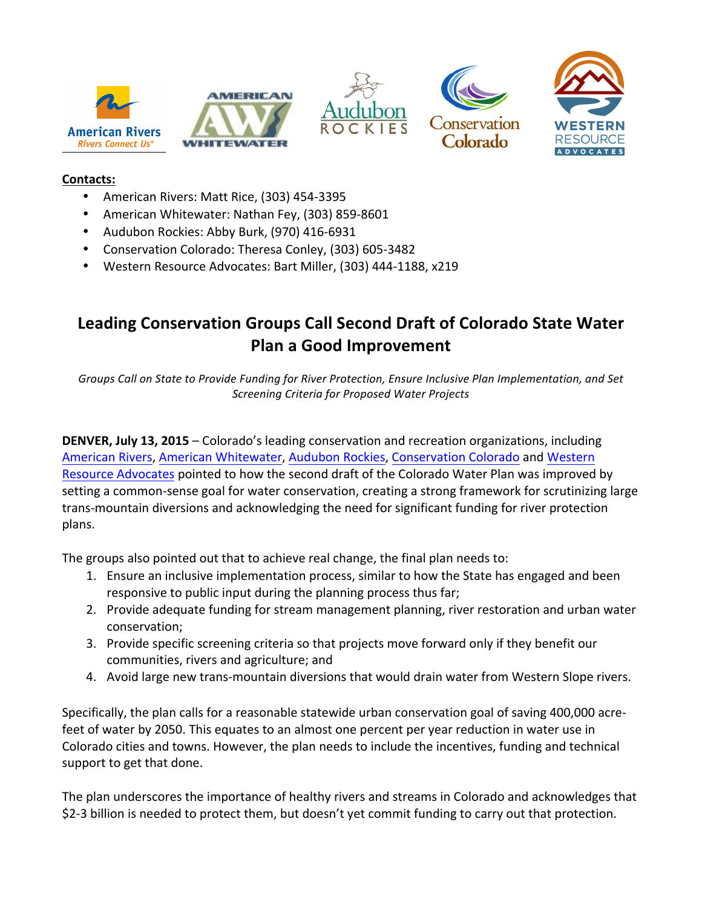

## **Contacts:**

- American Rivers: Matt Rice, (303) 454-3395
- American Whitewater: Nathan Fey, (303) 859-8601
- Audubon Rockies: Abby Burk, (970) 416-6931
- Conservation Colorado: Theresa Conley, (303) 605-3482
- Western Resource Advocates: Bart Miller, (303) 444-1188, x219

## Leading Conservation Groups Call Second Draft of Colorado State Water **Plan a Good Improvement**

Groups Call on State to Provide Funding for River Protection, Ensure Inclusive Plan Implementation, and Set *Screening Criteria for Proposed Water Projects*

**DENVER, July 13, 2015** – Colorado's leading conservation and recreation organizations, including American Rivers, American Whitewater, Audubon Rockies, Conservation Colorado and Western Resource Advocates pointed to how the second draft of the Colorado Water Plan was improved by setting a common-sense goal for water conservation, creating a strong framework for scrutinizing large trans-mountain diversions and acknowledging the need for significant funding for river protection plans. 

The groups also pointed out that to achieve real change, the final plan needs to:

- 1. Ensure an inclusive implementation process, similar to how the State has engaged and been responsive to public input during the planning process thus far;
- 2. Provide adequate funding for stream management planning, river restoration and urban water conservation;
- 3. Provide specific screening criteria so that projects move forward only if they benefit our communities, rivers and agriculture; and
- 4. Avoid large new trans-mountain diversions that would drain water from Western Slope rivers.

Specifically, the plan calls for a reasonable statewide urban conservation goal of saving 400,000 acrefeet of water by 2050. This equates to an almost one percent per year reduction in water use in Colorado cities and towns. However, the plan needs to include the incentives, funding and technical support to get that done.

The plan underscores the importance of healthy rivers and streams in Colorado and acknowledges that \$2-3 billion is needed to protect them, but doesn't yet commit funding to carry out that protection.